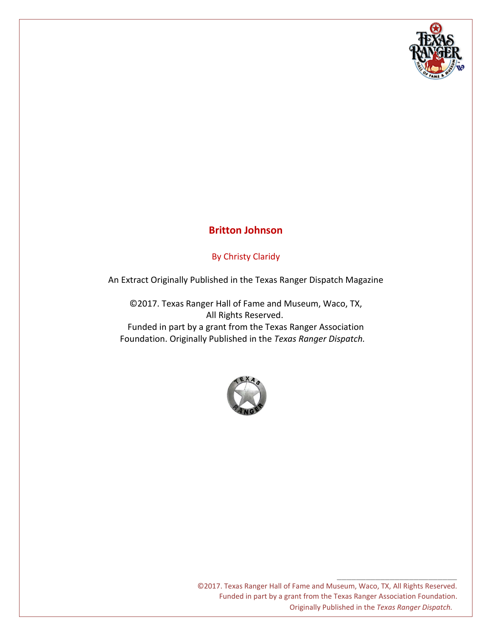

## **Britton Johnson**

## By Christy Claridy

An Extract Originally Published in the Texas Ranger Dispatch Magazine

©2017. Texas Ranger Hall of Fame and Museum, Waco, TX, All Rights Reserved. Funded in part by a grant from the Texas Ranger Association Foundation. Originally Published in the *Texas Ranger Dispatch.*



©2017. Texas Ranger Hall of Fame and Museum, Waco, TX, All Rights Reserved. Funded in part by a grant from the Texas Ranger Association Foundation. Originally Published in the *Texas Ranger Dispatch.*

\_\_\_\_\_\_\_\_\_\_\_\_\_\_\_\_\_\_\_\_\_\_\_\_\_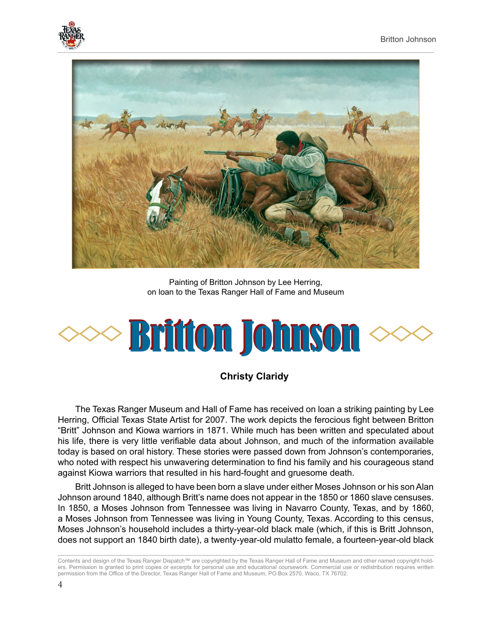



Painting of Britton Johnson by Lee Herring, on loan to the Texas Ranger Hall of Fame and Museum



## **Christy Claridy**

The Texas Ranger Museum and Hall of Fame has received on loan a striking painting by Lee Herring, Official Texas State Artist for 2007. The work depicts the ferocious fight between Britton "Britt" Johnson and Kiowa warriors in 1871. While much has been written and speculated about his life, there is very little verifiable data about Johnson, and much of the information available today is based on oral history. These stories were passed down from Johnson's contemporaries, who noted with respect his unwavering determination to find his family and his courageous stand against Kiowa warriors that resulted in his hard-fought and gruesome death.

Britt Johnson is alleged to have been born a slave under either Moses Johnson or his son Alan Johnson around 1840, although Britt's name does not appear in the 1850 or 1860 slave censuses. In 1850, a Moses Johnson from Tennessee was living in Navarro County, Texas, and by 1860, a Moses Johnson from Tennessee was living in Young County, Texas. According to this census, Moses Johnson's household includes a thirty-year-old black male (which, if this is Britt Johnson, does not support an 1840 birth date), a twenty-year-old mulatto female, a fourteen-year-old black

Contents and design of the Texas Ranger Dispatch™ are copyrighted by the Texas Ranger Hall of Fame and Museum and other named copyright holders. Permission is granted to print copies or excerpts for personal use and educational coursework. Commercial use or redistribution requires written permission from the Office of the Director, Texas Ranger Hall of Fame and Museum, PO Box 2570, Waco, TX 76702.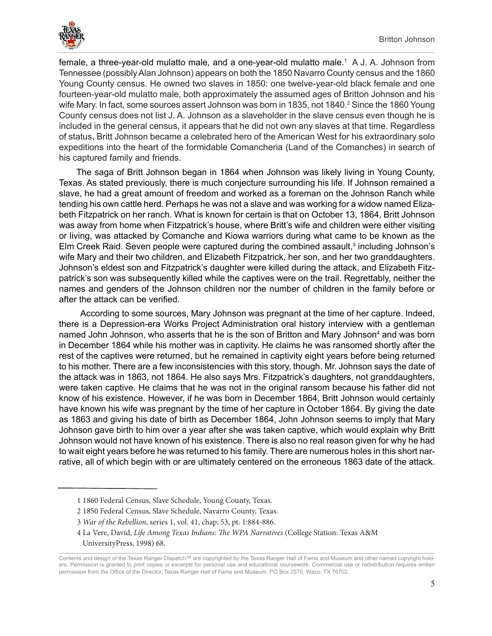

female, a three-year-old mulatto male, and a one-year-old mulatto male.<sup>1</sup> A J. A. Johnson from Tennessee (possibly Alan Johnson) appears on both the 1850 Navarro County census and the 1860 Young County census. He owned two slaves in 1850: one twelve-year-old black female and one fourteen-year-old mulatto male, both approximately the assumed ages of Britton Johnson and his wife Mary. In fact, some sources assert Johnson was born in 1835, not 1840.<sup>2</sup> Since the 1860 Young County census does not list J. A. Johnson as a slaveholder in the slave census even though he is included in the general census, it appears that he did not own any slaves at that time. Regardless of status, Britt Johnson became a celebrated hero of the American West for his extraordinary solo expeditions into the heart of the formidable Comancheria (Land of the Comanches) in search of his captured family and friends.

The saga of Britt Johnson began in 1864 when Johnson was likely living in Young County, Texas. As stated previously, there is much conjecture surrounding his life. If Johnson remained a slave, he had a great amount of freedom and worked as a foreman on the Johnson Ranch while tending his own cattle herd. Perhaps he was not a slave and was working for a widow named Elizabeth Fitzpatrick on her ranch. What is known for certain is that on October 13, 1864, Britt Johnson was away from home when Fitzpatrick's house, where Britt's wife and children were either visiting or living, was attacked by Comanche and Kiowa warriors during what came to be known as the Elm Creek Raid. Seven people were captured during the combined assault,<sup>3</sup> including Johnson's wife Mary and their two children, and Elizabeth Fitzpatrick, her son, and her two granddaughters. Johnson's eldest son and Fitzpatrick's daughter were killed during the attack, and Elizabeth Fitzpatrick's son was subsequently killed while the captives were on the trail. Regrettably, neither the names and genders of the Johnson children nor the number of children in the family before or after the attack can be verified.

 According to some sources, Mary Johnson was pregnant at the time of her capture. Indeed, there is a Depression-era Works Project Administration oral history interview with a gentleman named John Johnson, who asserts that he is the son of Britton and Mary Johnson<sup>4</sup> and was born in December 1864 while his mother was in captivity. He claims he was ransomed shortly after the rest of the captives were returned, but he remained in captivity eight years before being returned to his mother. There are a few inconsistencies with this story, though. Mr. Johnson says the date of the attack was in 1863, not 1864. He also says Mrs. Fitzpatrick's daughters, not granddaughters, were taken captive. He claims that he was not in the original ransom because his father did not know of his existence. However, if he was born in December 1864, Britt Johnson would certainly have known his wife was pregnant by the time of her capture in October 1864. By giving the date as 1863 and giving his date of birth as December 1864, John Johnson seems to imply that Mary Johnson gave birth to him over a year after she was taken captive, which would explain why Britt Johnson would not have known of his existence. There is also no real reason given for why he had to wait eight years before he was returned to his family. There are numerous holes in this short narrative, all of which begin with or are ultimately centered on the erroneous 1863 date of the attack.

- 2 1850 Federal Census, Slave Schedule, Navarro County, Texas.
- 3 *War of the Rebellion*, series 1, vol. 41, chap. 53, pt. 1:884-886.
- 4 La Vere, David, *Life Among Texas Indians: The WPA Narratives* (College Station: Texas A&M UniversityPress, 1998) 68.

<sup>1 1860</sup> Federal Census, Slave Schedule, Young County, Texas.

Contents and design of the Texas Ranger Dispatch™ are copyrighted by the Texas Ranger Hall of Fame and Museum and other named copyright holders. Permission is granted to print copies or excerpts for personal use and educational coursework. Commercial use or redistribution requires written permission from the Office of the Director, Texas Ranger Hall of Fame and Museum, PO Box 2570, Waco, TX 76702.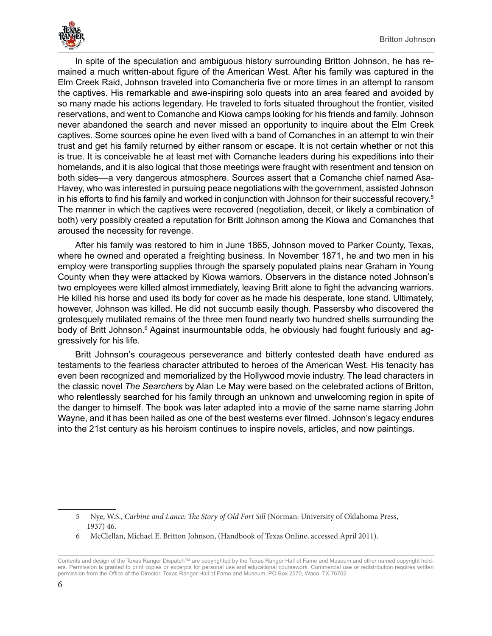

In spite of the speculation and ambiguous history surrounding Britton Johnson, he has remained a much written-about figure of the American West. After his family was captured in the Elm Creek Raid, Johnson traveled into Comancheria five or more times in an attempt to ransom the captives. His remarkable and awe-inspiring solo quests into an area feared and avoided by so many made his actions legendary. He traveled to forts situated throughout the frontier, visited reservations, and went to Comanche and Kiowa camps looking for his friends and family. Johnson never abandoned the search and never missed an opportunity to inquire about the Elm Creek captives. Some sources opine he even lived with a band of Comanches in an attempt to win their trust and get his family returned by either ransom or escape. It is not certain whether or not this is true. It is conceivable he at least met with Comanche leaders during his expeditions into their homelands, and it is also logical that those meetings were fraught with resentment and tension on both sides––a very dangerous atmosphere. Sources assert that a Comanche chief named Asa-Havey, who was interested in pursuing peace negotiations with the government, assisted Johnson in his efforts to find his family and worked in conjunction with Johnson for their successful recovery.<sup>5</sup> The manner in which the captives were recovered (negotiation, deceit, or likely a combination of both) very possibly created a reputation for Britt Johnson among the Kiowa and Comanches that aroused the necessity for revenge.

After his family was restored to him in June 1865, Johnson moved to Parker County, Texas, where he owned and operated a freighting business. In November 1871, he and two men in his employ were transporting supplies through the sparsely populated plains near Graham in Young County when they were attacked by Kiowa warriors. Observers in the distance noted Johnson's two employees were killed almost immediately, leaving Britt alone to fight the advancing warriors. He killed his horse and used its body for cover as he made his desperate, lone stand. Ultimately, however, Johnson was killed. He did not succumb easily though. Passersby who discovered the grotesquely mutilated remains of the three men found nearly two hundred shells surrounding the body of Britt Johnson.<sup>6</sup> Against insurmountable odds, he obviously had fought furiously and aggressively for his life.

Britt Johnson's courageous perseverance and bitterly contested death have endured as testaments to the fearless character attributed to heroes of the American West. His tenacity has even been recognized and memorialized by the Hollywood movie industry. The lead characters in the classic novel *The Searchers* by Alan Le May were based on the celebrated actions of Britton, who relentlessly searched for his family through an unknown and unwelcoming region in spite of the danger to himself. The book was later adapted into a movie of the same name starring John Wayne, and it has been hailed as one of the best westerns ever filmed. Johnson's legacy endures into the 21st century as his heroism continues to inspire novels, articles, and now paintings.

<sup>5</sup> Nye, W.S., *Carbine and Lance: The Story of Old Fort Sill* (Norman: University of Oklahoma Press, 1937) 46.

<sup>6</sup> McClellan, Michael E. Britton Johnson, (Handbook of Texas Online, accessed April 2011).

Contents and design of the Texas Ranger Dispatch™ are copyrighted by the Texas Ranger Hall of Fame and Museum and other named copyright holders. Permission is granted to print copies or excerpts for personal use and educational coursework. Commercial use or redistribution requires written permission from the Office of the Director, Texas Ranger Hall of Fame and Museum, PO Box 2570, Waco, TX 76702.